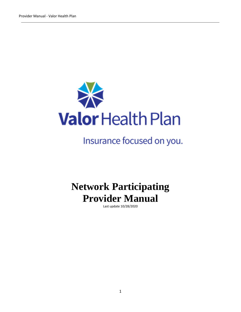

# Insurance focused on you.

# **Network Participating Provider Manual**

Last update 10/28/2020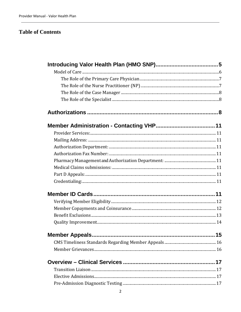## **Table of Contents**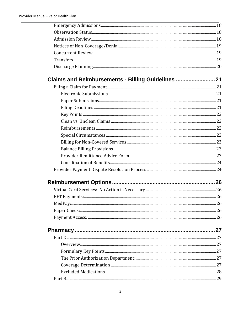| Claims and Reimbursements - Billing Guidelines |                 |
|------------------------------------------------|-----------------|
| $E: \mathbb{R}^n \to \mathbb{R}^n$             | $\overline{21}$ |

| 29 |
|----|
|    |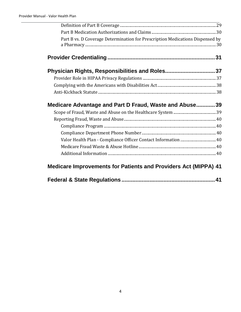| Part B vs. D Coverage Determination for Prescription Medications Dispensed by |  |
|-------------------------------------------------------------------------------|--|
|                                                                               |  |
| Physician Rights, Responsibilities and Roles37                                |  |
|                                                                               |  |
|                                                                               |  |
|                                                                               |  |
| Medicare Advantage and Part D Fraud, Waste and Abuse39                        |  |
|                                                                               |  |
|                                                                               |  |
|                                                                               |  |
|                                                                               |  |
|                                                                               |  |
|                                                                               |  |
|                                                                               |  |
| <b>Medicare Improvements for Patients and Providers Act (MIPPA) 41</b>        |  |
|                                                                               |  |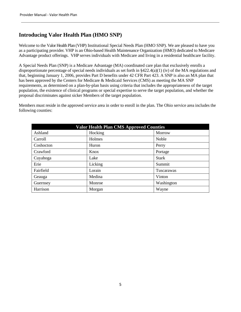## <span id="page-4-0"></span>**Introducing Valor Health Plan (HMO SNP)**

Welcome to the Valor Health Plan (VHP) Institutional Special Needs Plan (HMO SNP). We are pleased to have you as a participating provider. VHP is an Ohio-based Health Maintenance Organization (HMO) dedicated to Medicare Advantage product offerings. VHP serves individuals with Medicare and living in a residential healthcare facility.

A Special Needs Plan (SNP) is a Medicare Advantage (MA) coordinated care plan that exclusively enrolls a disproportionate percentage of special needs individuals as set forth in  $\S 422.4(a)(1)$  (iv) of the MA regulations and that, beginning January 1, 2006, provides Part D benefits under 42 CFR Part 423. A SNP is also an MA plan that has been approved by the Centers for Medicare & Medicaid Services (CMS) as meeting the MA SNP requirements, as determined on a plan-by-plan basis using criteria that includes the appropriateness of the target population, the existence of clinical programs or special expertise to serve the target population, and whether the proposal discriminates against sicker Members of the target population.

Members must reside in the approved service area in order to enroll in the plan. The Ohio service area includes the following counties:

| <b>Valor Health Plan CMS Approved Counties</b> |         |              |
|------------------------------------------------|---------|--------------|
| Ashland                                        | Hocking | Morrow       |
| Carroll                                        | Holmes  | Noble        |
| Coshocton                                      | Huron   | Perry        |
| Crawford                                       | Knox    | Portage      |
| Cuyahoga                                       | Lake    | <b>Stark</b> |
| Erie                                           | Licking | Summit       |
| Fairfield                                      | Lorain  | Tuscarawas   |
| Geauga                                         | Medina  | Vinton       |
| Guernsey                                       | Monroe  | Washington   |
| Harrison                                       | Morgan  | Wayne        |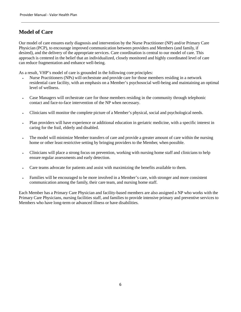## <span id="page-5-0"></span>**Model of Care**

Our model of care ensures early diagnosis and intervention by the Nurse Practitioner (NP) and/or Primary Care Physician (PCP), to encourage improved communication between providers and Members (and family, if desired), and the delivery of the appropriate services. Care coordination is central to our model of care. This approach is centered in the belief that an individualized, closely monitored and highly coordinated level of care can reduce fragmentation and enhance well-being.

As a result, VHP's model of care is grounded in the following core principles:

- Nurse Practitioners (NPs) will orchestrate and provide care for those members residing in a network residential care facility, with an emphasis on a Member's psychosocial well-being and maintaining an optimal level of wellness.
- Case Managers will orchestrate care for those members residing in the community through telephonic contact and face-to-face intervention of the NP when necessary.
- Clinicians will monitor the complete picture of a Member's physical, social and psychological needs.
- Plan providers will have experience or additional education in geriatric medicine, with a specific interest in caring for the frail, elderly and disabled.
- The model will minimize Member transfers of care and provide a greater amount of care within the nursing home or other least restrictive setting by bringing providers to the Member, when possible.
- Clinicians will place a strong focus on prevention, working with nursing home staff and clinicians to help ensure regular assessments and early detection.
- Care teams advocate for patients and assist with maximizing the benefits available to them.
- Families will be encouraged to be more involved in a Member's care, with stronger and more consistent communication among the family, their care team, and nursing home staff.

Each Member has a Primary Care Physician and facility-based members are also assigned a NP who works with the Primary Care Physicians, nursing facilities staff, and families to provide intensive primary and preventive services to Members who have long-term or advanced illness or have disabilities.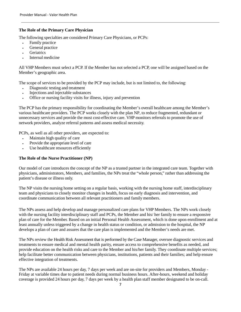#### <span id="page-6-0"></span>**The Role of the Primary Care Physician**

The following specialties are considered Primary Care Physicians, or PCPs:

- Family practice
- General practice
- **Geriatrics**
- Internal medicine

All VHP Members must select a PCP. If the Member has not selected a PCP, one will be assigned based on the Member's geographic area.

The scope of services to be provided by the PCP may include, but is not limited to, the following:

- Diagnostic testing and treatment
- Injections and injectable substances
- Office or nursing facility visits for illness, injury and prevention

The PCP has the primary responsibility for coordinating the Member's overall healthcare among the Member's various healthcare providers. The PCP works closely with the plan NP, to reduce fragmented, redundant or unnecessary services and provide the most cost-effective care. VHP monitors referrals to promote the use of network providers, analyze referral patterns and assess medical necessity.

PCPs, as well as all other providers, are expected to:

- Maintain high quality of care
- Provide the appropriate level of care
- Use healthcare resources efficiently

#### <span id="page-6-1"></span>**The Role of the Nurse Practitioner (NP)**

Our model of care introduces the concept of the NP as a trusted partner in the integrated care team. Together with physicians, administrators, Members, and families, the NPs treat the "whole person," rather than addressing the patient's disease or illness only.

The NP visits the nursing home setting on a regular basis, working with the nursing home staff, interdisciplinary team and physicians to closely monitor changes in health, focus on early diagnosis and intervention, and coordinate communication between all relevant practitioners and family members.

The NPs assess and help develop and manage personalized care plans for VHP Members. The NPs work closely with the nursing facility interdisciplinary staff and PCPs, the Member and his/ her family to ensure a responsive plan of care for the Member. Based on an initial Personal Health Assessment, which is done upon enrollment and at least annually unless triggered by a change in health status or condition, or admission to the hospital, the NP develops a plan of care and assures that the care plan is implemented and the Member's needs are met.

The NPs review the Health Risk Assessment that is performed by the Case Manager, oversee diagnostic services and treatments to ensure medical and mental health parity, ensure access to comprehensive benefits as needed, and provide education on the health risks and care to the Member and his/her family. They coordinate multiple services; help facilitate better communication between physicians, institutions, patients and their families; and help ensure effective integration of treatments.

The NPs are available 24 hours per day, 7 days per week and are on-site for providers and Members, Monday - Friday at variable times due to patient needs during normal business hours. After-hours, weekend and holiday coverage is provided 24 hours per day, 7 days per week by a health plan staff member designated to be on-call.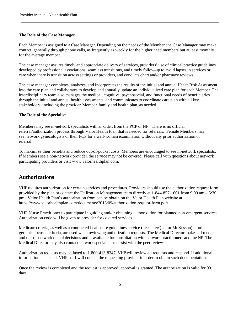#### <span id="page-7-0"></span>**The Role of the Case Manager**

Each Member is assigned to a Case Manager. Depending on the needs of the Member, the Case Manager may make contact, generally through phone calls, as frequently as weekly for the higher need members but at least monthly for the average member.

The case manager assures timely and appropriate delivery of services, providers' use of clinical practice guidelines developed by professional associations, seamless transitions, and timely follow-up to avoid lapses in services or care when there is transition across settings or providers, and conducts chart and/or pharmacy reviews.

The case manager completes, analyzes, and incorporates the results of the initial and annual Health Risk Assessment into the care plan and collaborates to develop and annually update an individualized care plan for each Member. The interdisciplinary team also manages the medical, cognitive, psychosocial, and functional needs of beneficiaries through the initial and annual health assessments, and communicates to coordinate care plan with all key stakeholders, including the provider, Member, family and health plan, as needed.

#### <span id="page-7-1"></span>**The Role of the Specialist**

Members may see in-network specialists with an order, from the PCP or NP. There is no official referral/authorization process through Valor Health Plan that is needed for referrals. Female Members may see network gynecologists or their PCP for a well-woman examination without any prior authorization or referral.

To maximize their benefits and reduce out-of-pocket costs, Members are encouraged to see in-network specialists. If Members see a non-network provider, the service may not be covered. Please call with questions about network participating providers or visit [www.valorhealthplan.com.](http://www.valorhealthplan.com/)

### <span id="page-7-2"></span>**Authorizations**

VHP requires authorization for certain services and procedures. Providers should use the authorization request form provided by the plan or contact the Utilization Management team directly at 1-844-857-1601 from 9:00 am – 5:30 pm. Valor Health Plan's authorization from can be obtain on the Valor Health Plan website at https://www.valorhealthplan.com/documents/2018/09/authorization-request-form.pdf/

VHP Nurse Practitioner to participate in guiding and/or obtaining authorization for planned non-emergent services. Authorization code will be given to provider for covered services.

Medicare criteria, as well as a contracted healthcare guidelines service (i.e.: InterQual or McKesson) or other geriatric focused criteria, are used when reviewing authorization requests. The Medical Director makes all medical and out-of-network denial decisions and is available for consultation with network practitioners and the NP. The Medical Director may also contact network specialists to assist with the peer review.

Authorization requests may be faxed to 1-800-413-8347. VHP will review all requests and respond. If additional information is needed, VHP staff will contact the requesting provider in order to obtain such documentation.

Once the review is completed and the request is approved, approval is granted. The authorization is valid for 90 days.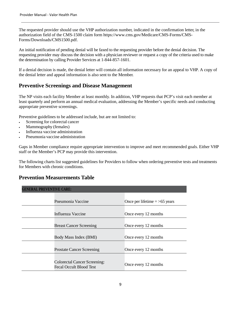The requested provider should use the VHP authorization number, indicated in the confirmation letter, in the authorization field of the CMS-1500 claim form https://www.cms.gov/Medicare/CMS-Forms/CMS-Forms/Downloads/CMS1500.pdf.

An initial notification of pending denial will be faxed to the requesting provider before the denial decision. The requesting provider may discuss the decision with a physician reviewer or request a copy of the criteria used to make the determination by calling Provider Services at 1-844-857-1601.

If a denial decision is made, the denial letter will contain all information necessary for an appeal to VHP. A copy of the denial letter and appeal information is also sent to the Member.

### **Preventive Screenings and Disease Management**

The NP visits each facility Member at least monthly. In addition, VHP requests that PCP's visit each member at least quarterly and perform an annual medical evaluation, addressing the Member's specific needs and conducting appropriate preventive screenings.

Preventive guidelines to be addressed include, but are not limited to:

- Screening for colorectal cancer
- Mammography (females)
- Influenza vaccine administration
- Pneumonia vaccine administration

Gaps in Member compliance require appropriate intervention to improve and meet recommended goals. Either VHP staff or the Member's PCP may provide this intervention.

The following charts list suggested guidelines for Providers to follow when ordering preventive tests and treatments for Members with chronic conditions.

### **Prevention Measurements Table**

| <b>GENERAL PREVENTIVE CARE:</b>                                       |                                 |  |
|-----------------------------------------------------------------------|---------------------------------|--|
|                                                                       |                                 |  |
| Pneumonia Vaccine                                                     | Once per lifetime $=$ >65 years |  |
|                                                                       |                                 |  |
| Influenza Vaccine                                                     | Once every 12 months            |  |
| <b>Breast Cancer Screening</b>                                        | Once every 12 months            |  |
| Body Mass Index (BMI)                                                 | Once every 12 months            |  |
| <b>Prostate Cancer Screening</b>                                      | Once every 12 months            |  |
| <b>Colorectal Cancer Screening:</b><br><b>Fecal Occult Blood Test</b> | Once every 12 months            |  |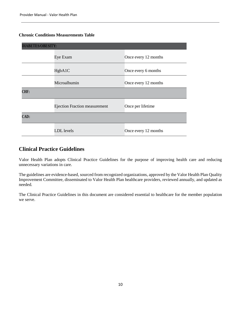#### **Chronic Conditions Measurements Table**

| <b>DIABETES/OBESITY:</b> |                                      |                      |
|--------------------------|--------------------------------------|----------------------|
|                          | Eye Exam                             | Once every 12 months |
|                          | HgbA1C                               | Once every 6 months  |
|                          | Microalbumin                         | Once every 12 months |
| CHF:                     |                                      |                      |
|                          | <b>Ejection Fraction measurement</b> | Once per lifetime    |
| CAD:                     |                                      |                      |
|                          | LDL levels                           | Once every 12 months |

## **Clinical Practice Guidelines**

Valor Health Plan adopts Clinical Practice Guidelines for the purpose of improving health care and reducing unnecessary variations in care.

The guidelines are evidence-based, sourced from recognized organizations, approved by the Valor Health Plan Quality Improvement Committee, disseminated to Valor Health Plan healthcare providers, reviewed annually, and updated as needed.

The Clinical Practice Guidelines in this document are considered essential to healthcare for the member population we serve.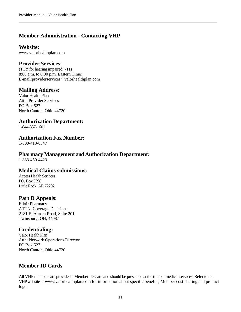## <span id="page-10-0"></span>**Member Administration - Contacting VHP**

#### **Website:**

[www.valorhealthplan.com](http://www.valorhealthplan.com/) 

### <span id="page-10-1"></span>**Provider Services:**

(TTY for hearing impaired: 711) 8:00 a.m. to 8:00 p.m. Eastern Time) E-mail:providerservices@valorhealthplan.com

### <span id="page-10-2"></span>**Mailing Address:**

Valor Health Plan Attn: Provider Services PO Box 527 North Canton, Ohio 44720

#### <span id="page-10-3"></span>**Authorization Department:**

1-844-857-1601

#### <span id="page-10-4"></span>**Authorization Fax Number:**

1-800-413-8347

#### <span id="page-10-5"></span>**Pharmacy Management and Authorization Department:**

1-833-459-4423

#### <span id="page-10-6"></span>**Medical Claims submissions:**

Access Health Services PO. Box 3398 Little Rock, AR 72202

### <span id="page-10-7"></span>**Part D Appeals:**

Elixir Pharmacy ATTN: Coverage Decisions 2181 E. Aurora Road, Suite 201 Twinsburg, OH, 44087

### <span id="page-10-8"></span>**Credentialing:**

Valor Health Plan Attn: Network Operations Director PO Box 527 North Canton, Ohio 44720

## <span id="page-10-9"></span>**Member ID Cards**

All VHP members are provided a Member ID Card and should be presented at the time of medical services. Refer to the VHP website at [www.valorhealthplan.com](http://www.valorhealthplan.com/) for information about specific benefits, Member cost-sharing and product logo.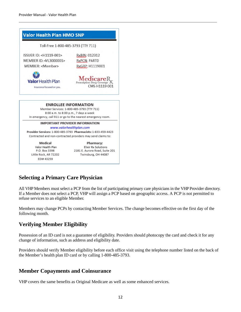

## **Selecting a Primary Care Physician**

All VHP Members must select a PCP from the list of participating primary care physicians in the VHP Provider directory. If a Member does not select a PCP, VHP will assign a PCP based on geographic access. A PCP is not permitted to refuse services to an eligible Member.

Members may change PCPs by contacting Member Services. The change becomes effective on the first day of the following month.

## <span id="page-11-0"></span>**Verifying Member Eligibility**

Possession of an ID card is not a guarantee of eligibility. Providers should photocopy the card and check it for any change of information, such as address and eligibility date.

Providers should verify Member eligibility before each office visit using the telephone number listed on the back of the Member's health plan ID card or by calling 1-800-485-3793.

### <span id="page-11-1"></span>**Member Copayments and Coinsurance**

VHP covers the same benefits as Original Medicare as well as some enhanced services.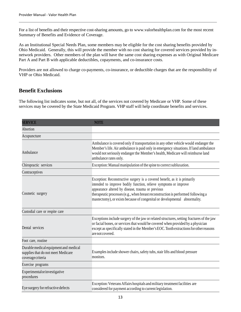For a list of benefits and their respective cost-sharing amounts, go to [www.valorhealthplan.com](http://www.valorhealthplan.com/) for the most recent Summary of Benefits and Evidence of Coverage.

As an Institutional Special Needs Plan, some members may be eligible for the cost sharing benefits provided by Ohio Medicaid. Generally, this will provide the member with no cost sharing for covered services provided by innetwork providers. Other members of the plan will have the same cost sharing expenses as with Original Medicare Part A and Part B with applicable deductibles, copayments, and co-insurance costs.

Providers are not allowed to charge co-payments, co-insurance, or deductible charges that are the responsibility of VHP or Ohio Medicaid.

## <span id="page-12-0"></span>**Benefit Exclusions**

The following list indicates some, but not all, of the services not covered by Medicare or VHP. Some of these services may be covered by the State Medicaid Program. VHP staff will help coordinate benefits and services.

| <b>SERVICE</b>                                                                                  | <b>NOTE</b>                                                                                                                                                                                                                                                                                                                                                           |
|-------------------------------------------------------------------------------------------------|-----------------------------------------------------------------------------------------------------------------------------------------------------------------------------------------------------------------------------------------------------------------------------------------------------------------------------------------------------------------------|
| Abortion                                                                                        |                                                                                                                                                                                                                                                                                                                                                                       |
| Acupuncture                                                                                     |                                                                                                                                                                                                                                                                                                                                                                       |
| Ambulance                                                                                       | Ambulance is covered only if transportation in any other vehicle would endanger the<br>Member's life. Air ambulance is paid only in emergency situations. If land ambulance<br>would not seriously endanger the Member's health, Medicare will reimburse land<br>ambulance rates only.                                                                                |
| Chiropractic services                                                                           | Exception: Manual manipulation of the spine to correct subluxation.                                                                                                                                                                                                                                                                                                   |
| Contraceptives                                                                                  |                                                                                                                                                                                                                                                                                                                                                                       |
| Cosmetic surgery                                                                                | Exception: Reconstructive surgery is a covered benefit, as it is primarily<br>intended to improve bodily function, relieve symptoms or improve<br>appearance altered by disease, trauma or previous<br>therapeutic processes (e.g., when breast reconstruction is performed following a<br>mastectomy), or exists because of congenital or developmental abnormality. |
| Custodial care or respite care                                                                  |                                                                                                                                                                                                                                                                                                                                                                       |
| Dental services                                                                                 | Exceptions include surgery of the jaw or related structures, setting fractures of the jaw<br>or facial bones, or services that would be covered when provided by a physician<br>except as specifically stated in the Member's EOC. Tooth extractions for other reasons<br>are not covered.                                                                            |
| Foot care, routine                                                                              |                                                                                                                                                                                                                                                                                                                                                                       |
| Durable medical equipment and medical<br>supplies that do not meet Medicare<br>coveragecriteria | Examples include shower chairs, safety tubs, stair lifts and blood pressure<br>monitors.                                                                                                                                                                                                                                                                              |
| Exercise programs                                                                               |                                                                                                                                                                                                                                                                                                                                                                       |
| Experimentalorinvestigative<br>procedures                                                       |                                                                                                                                                                                                                                                                                                                                                                       |
| Eye surgery for refractive defects                                                              | Exception: Veterans Affairs hospitals and military treatment facilities are<br>considered for payment according to current legislation.                                                                                                                                                                                                                               |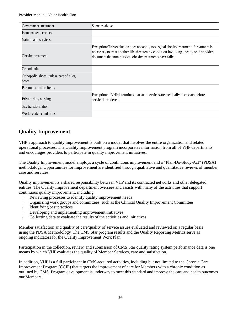| Government treatment                            | Same as above.                                                                                                                                                                                                                                  |
|-------------------------------------------------|-------------------------------------------------------------------------------------------------------------------------------------------------------------------------------------------------------------------------------------------------|
| Homemaker services                              |                                                                                                                                                                                                                                                 |
| Naturopath services                             |                                                                                                                                                                                                                                                 |
| Obesity treatment                               | Exception: This exclusion does not apply to surgical obesity treatment if treatment is<br>necessary to treat another life-threatening condition involving obesity or if providers<br>document that non-surgical obesity treatments have failed. |
| Orthodontia                                     |                                                                                                                                                                                                                                                 |
| Orthopedic shoes, unless part of a leg<br>brace |                                                                                                                                                                                                                                                 |
| Personal comfort items                          |                                                                                                                                                                                                                                                 |
| Private duty nursing                            | Exception: If VHP determines that such services are medically necessary before<br>service is rendered                                                                                                                                           |
| Sex transformation                              |                                                                                                                                                                                                                                                 |
| Work-related conditions                         |                                                                                                                                                                                                                                                 |

## <span id="page-13-0"></span>**Quality Improvement**

VHP's approach to quality improvement is built on a model that involves the entire organization and related operational processes. The Quality Improvement program incorporates information from all of VHP departments and encourages providers to participate in quality improvement initiatives.

The Quality Improvement model employs a cycle of continuous improvement and a "Plan-Do-Study-Act" (PDSA) methodology. Opportunities for improvement are identified through qualitative and quantitative reviews of member care and services.

Quality improvement is a shared responsibility between VHP and its contracted networks and other delegated entities. The Quality Improvement department oversees and assists with many of the activities that support continuous quality improvement, including:

- Reviewing processes to identify quality improvement needs
- Organizing work groups and committees, such as the Clinical Quality Improvement Committee
- Identifying best practices
- Developing and implementing improvement initiatives
- Collecting data to evaluate the results of the activities and initiatives

Member satisfaction and quality of care/quality of service issues evaluated and reviewed on a regular basis using the PDSA Methodology. The CMS Star program results and the Quality Reporting Metrics serve as ongoing indicators for the Quality Improvement Work Plan.

Participation in the collection, review, and submission of CMS Star quality rating system performance data is one means by which VHP evaluates the quality of Member Services, care and satisfaction.

In addition, VHP is a full participant in CMS-required activities, including but not limited to the Chronic Care Improvement Program (CCIP) that targets the improvement of care for Members with a chronic condition as outlined by CMS. Program development is underway to meet this standard and improve the care and health outcomes our Members.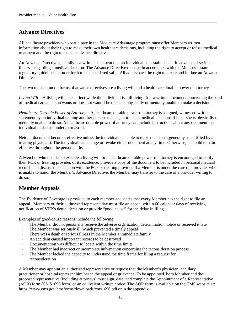## **Advance Directives**

All healthcare providers who participate in the Medicare Advantage program must offer Members written information about their right to make their own healthcare decisions, including the right to accept or refuse medical treatment and the right to execute advance directives.

An Advance Directive generally is a written statement that an individual has established – in advance of serious illness – regarding a medical decision. The Advance Directive must be in accordance with the Member's state regulatory guidelines in order for it to be considered valid. All adults have the right to create and initiate an Advance Directive.

The two most common forms of advance directives are a living will and a healthcare durable power of attorney.

*Living Will* – A living will takes effect while the individual is still living. It is a written document concerning the kind of medical care a person wants or does not want if he or she is physically or mentally unable to make a decision.

*Healthcare Durable Power of Attorney* – A healthcare durable power of attorney is a signed, witnessed written statement by an individual naming another person as an agent to make medical decisions if he or she is physically or mentally unable to do so. A healthcare durable power of attorney can include instructions about any treatment the individual desires to undergo or avoid.

Neither document becomes effective unless the individual is unable to make decisions (generally as certified by a treating physician). The individual can change or revoke either document at any time. Otherwise, it should remain effective throughout the person's life.

A Member who decides to execute a living will or a healthcare durable power of attorney is encouraged to notify their PCP, or treating provider, of its existence, provide a copy of the document to be included in personal medical records and discuss this decision with the PCP or treating provider. If a Member is under the care of a provider who is unable to honor the Member's Advance Directive, the Member may transfer to the care of a provider willing to do so.

## <span id="page-14-0"></span>**Member Appeals**

The Evidence of Coverage is provided to each member and states that every Member has the right to file an appeal. Members or their authorized representative must file an appeal within 60 calendar days of receiving notification of VHP's denial decision or provide "good cause" for the delay in filing.

Examples of good-cause reasons include the following:

- The Member did not personally receive the adverse organization determination notice or received it late
- The Member was seriously ill, which prevented a timely appeal
- There was a death or serious illness in the Member's immediate family
- An accident caused important records to be destroyed
- Documentation was difficult to locate within the time limits
- The Member had incorrect or incomplete information concerning the reconsideration process
- The Member lacked the capacity to understand the time frame for filing a request for reconsideration

A Member may appoint an authorized representative or request that the Member's physician, ancillary practitioner or hospital represent him/her in the appeal or grievance. To be appointed, both Member and the proposed representative (including attorneys) must sign, date, and complete the Appointment of a Representative (AOR) form (CMS1696 form) or an equivalent written notice. The AOR form is available on the CMS website at: https:/[/www.cms.gov/cmsforms/downloads/cms1696.pdf o](http://www.cms.gov/cmsforms/downloads/cms1696.pdf)r in the appendix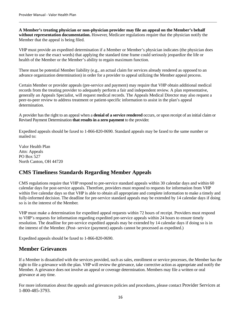**A Member's treating physician or non-physician provider may file an appeal on the Member's behalf without representation documentation.** However, Medicare regulations require that the physician notify the Member that the appeal is being filed.

VHP must provide an expedited determination if a Member or Member's physician indicates (the physician does not have to use the exact words) that applying the standard time frame could seriously jeopardize the life or health of the Member or the Member's ability to regain maximum function.

There must be potential Member liability (e.g., an actual claim for services already rendered as opposed to an advance organization determination) in order for a provider to appeal utilizing the Member appeal process.

Certain Member or provider appeals (pre-service and payment) may require that VHP obtain additional medical records from the treating provider to adequately perform a fair and independent review. A plan representative, generally an Appeals Specialist, will request medical records. The Appeals Medical Director may also request a peer-to-peer review to address treatment or patient-specific information to assist in the plan's appeal determination.

A provider has the right to an appeal when a **denial of a service rendered** occurs, or upon receipt of an initial claim or Revised Payment Determination **that results in a zero payment** to the provider.

Expedited appeals should be faxed to 1-866-820-0690. Standard appeals may be faxed to the same number or mailed to:

Valor Health Plan Attn: Appeals PO Box 527 North Canton, OH 44720

## <span id="page-15-0"></span>**CMS Timeliness Standards Regarding Member Appeals**

CMS regulations require that VHP respond to pre-service standard appeals within 30 calendar days and within 60 calendar days for post-service appeals. Therefore, providers must respond to requests for information from VHP within five calendar days so that VHP is able to obtain all appropriate and complete information to make a timely and fully-informed decision. The deadline for pre-service standard appeals may be extended by 14 calendar days if doing so is in the interest of the Member.

VHP must make a determination for expedited appeal requests within 72 hours of receipt. Providers must respond to VHP's requests for information regarding expedited pre-service appeals within 24 hours to ensure timely resolution. The deadline for pre-service expedited appeals may be extended by 14 calendar days if doing so is in the interest of the Member. (Post- service (payment) appeals cannot be processed as expedited.)

Expedited appeals should be faxed to 1-866-820-0690.

### <span id="page-15-1"></span>**Member Grievances**

If a Member is dissatisfied with the services provided, such as sales, enrollment or service processes, the Member has the right to file a grievance with the plan. VHP will review the grievance, take corrective action as appropriate and notify the Member. A grievance does not involve an appeal or coverage determination. Members may file a written or oral grievance at any time.

For more information about the appeals and grievances policies and procedures, please contact Provider Services at 1-800-485-3793.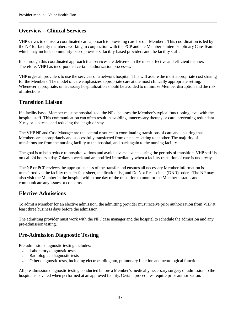## <span id="page-16-0"></span>**Overview – Clinical Services**

VHP strives to deliver a coordinated care approach to providing care for our Members. This coordination is led by the NP for facility members working in conjunction with the PCP and the Member's Interdisciplinary Care Team which may include community-based providers, facility-based providers and the facility staff.

It is through this coordinated approach that services are delivered in the most effective and efficient manner. Therefore, VHP has incorporated certain authorization processes.

VHP urges all providers to use the services of a network hospital. This will assure the most appropriate cost sharing for the Members. The model of care emphasizes appropriate care at the most clinically appropriate setting. Whenever appropriate, unnecessary hospitalization should be avoided to minimize Member disruption and the risk of infections.

### <span id="page-16-1"></span>**Transition Liaison**

If a facility based Member must be hospitalized, the NP discusses the Member's typical functioning level with the hospital staff. This communication can often result in avoiding unnecessary therapy or care, preventing redundant X-ray or lab tests, and reducing the length of stay.

The VHP NP and Case Manager are the central resource in coordinating transitions of care and ensuring that Members are appropriately and successfully transferred from one care setting to another. The majority of transitions are from the nursing facility to the hospital, and back again to the nursing facility.

The goal is to help reduce re-hospitalizations and avoid adverse events during the periods of transition. VHP staff is on call 24 hours a day, 7 days a week and are notified immediately when a facility transition of care is underway.

The NP or PCP reviews the appropriateness of the transfer and ensures all necessary Member information is transferred via the facility transfer face sheet, medication list, and Do Not Resuscitate (DNR) orders. The NP may also visit the Member in the hospital within one day of the transition to monitor the Member's status and communicate any issues or concerns.

## <span id="page-16-2"></span>**Elective Admissions**

To admit a Member for an elective admission, the admitting provider must receive prior authorization from VHP at least three business days before the admission.

The admitting provider must work with the NP / case manager and the hospital to schedule the admission and any pre-admission testing.

## <span id="page-16-3"></span>**Pre-Admission Diagnostic Testing**

Pre-admission diagnostic testing includes:

- Laboratory diagnostic tests
- Radiological diagnostic tests
- Other diagnostic tests, including electrocardiogram, pulmonary function and neurological function

<span id="page-16-4"></span>All preadmission diagnostic testing conducted before a Member's medically necessary surgery or admission to the hospital is covered when performed at an approved facility. Certain procedures require prior authorization.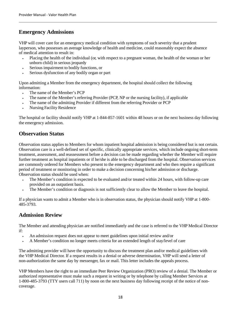## **Emergency Admissions**

VHP will cover care for an emergency medical condition with symptoms of such severity that a prudent layperson, who possesses an average knowledge of health and medicine, could reasonably expect the absence of medical attention to result in:

- Placing the health of the individual (or, with respect to a pregnant woman, the health of the woman or her unborn child) in serious jeopardy
- Serious impairment to bodily functions, or
- Serious dysfunction of any bodily organ or part

Upon admitting a Member from the emergency department, the hospital should collect the following information:

- The name of the Member's PCP
- The name of the Member's referring Provider (PCP, NP or the nursing facility), if applicable
- The name of the admitting Provider if different from the referring Provider or PCP
- Nursing Facility Residence

The hospital or facility should notify VHP at 1-844-857-1601 within 48 hours or on the next business day following the emergency admission.

## <span id="page-17-0"></span>**Observation Status**

Observation status applies to Members for whom inpatient hospital admission is being considered but is not certain. Observation care is a well-defined set of specific, clinically appropriate services, which include ongoing short-term treatment, assessment, and reassessment before a decision can be made regarding whether the Member will require further treatment as hospital inpatients or if he/she is able to be discharged from the hospital. Observation services are commonly ordered for Members who present to the emergency department and who then require a significant period of treatment or monitoring in order to make a decision concerning his/her admission or discharge. Observation status should be used when:

- The Member's condition is expected to be evaluated and/or treated within 24 hours, with follow-up care provided on an outpatient basis.
- The Member's condition or diagnosis is not sufficiently clear to allow the Member to leave the hospital.

If a physician wants to admit a Member who is in observation status, the physician should notify VHP at 1-800- 485-3793.

### <span id="page-17-1"></span>**Admission Review**

The Member and attending physician are notified immediately and the case is referred to the VHP Medical Director if:

- An admission request does not appear to meet guidelines upon initial review and/or
- A Member's condition no longer meets criteria for an extended length of stay/level of care

The admitting provider will have the opportunity to discuss the treatment plan and/or medical guidelines with the VHP Medical Director. If a request results in a denial or adverse determination, VHP will send a letter of non-authorization the same day by messenger, fax or mail. This letter includes the appeals process.

VHP Members have the right to an immediate Peer Review Organization (PRO) review of a denial. The Member or authorized representative must make such a request in writing or by telephone by calling Member Services at 1-800-485-3793 (TTY users call 711) by noon on the next business day following receipt of the notice of noncoverage.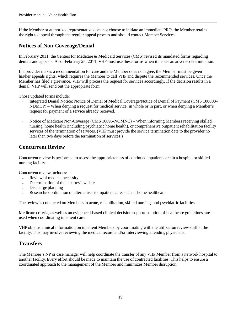If the Member or authorized representative does not choose to initiate an immediate PRO, the Member retains the right to appeal through the regular appeal process and should contact Member Services.

### <span id="page-18-0"></span>**Notices of Non-Coverage/Denial**

In February 2011, the Centers for Medicare & Medicaid Services (CMS) revised its mandated forms regarding denials and appeals. As of February 28, 2011, VHP must use these forms when it makes an adverse determination.

If a provider makes a recommendation for care and the Member does not agree, the Member must be given his/her appeals rights, which requires the Member to call VHP and dispute the recommended services. Once the Member has filed a grievance, VHP will process the request for services accordingly. If the decision results in a denial, VHP will send out the appropriate form.

Those updated forms include:

- Integrated Denial Notice: Notice of Denial of Medical Coverage/Notice of Denial of Payment (CMS 100003– NDMCP) – When denying a request for medical service, in whole or in part, or when denying a Member's request for payment of a service already received.
- Notice of Medicare Non-Coverage (CMS 10095-NOMNC) When informing Members receiving skilled nursing, home health (including psychiatric home health), or comprehensive outpatient rehabilitation facility services of the termination of services. (VHP must provide the service termination date to the provider no later than two days before the termination of services.)

## <span id="page-18-1"></span>**Concurrent Review**

Concurrent review is performed to assess the appropriateness of continued inpatient care in a hospital or skilled nursing facility.

Concurrent review includes:

- Review of medical necessity
- Determination of the next review date
- Discharge planning
- Research/coordination of alternatives to inpatient care, such as home healthcare

The review is conducted on Members in acute, rehabilitation, skilled nursing, and psychiatric facilities.

Medicare criteria, as well as an evidenced-based clinical decision support solution of healthcare guidelines, are used when coordinating inpatient care.

VHP obtains clinical information on inpatient Members by coordinating with the utilization review staff at the facility. This may involve reviewing the medical record and/or interviewing attending physicians.

### <span id="page-18-2"></span>**Transfers**

<span id="page-18-3"></span>The Member's NP or case manager will help coordinate the transfer of any VHP Member from a network hospital to another facility. Every effort should be made to maintain the use of contracted facilities. This helps to ensure a coordinated approach to the management of the Member and minimizes Member disruption.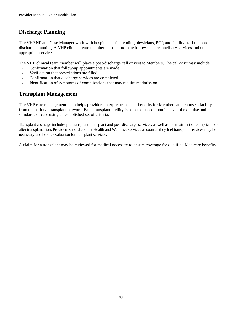## **Discharge Planning**

The VHP NP and Case Manager work with hospital staff, attending physicians, PCP, and facility staff to coordinate discharge planning. A VHP clinical team member helps coordinate follow-up care, ancillary services and other appropriate services.

The VHP clinical team member will place a post-discharge call or visit to Members. The call/visit may include:

- Confirmation that follow-up appointments are made
- Verification that prescriptions are filled
- Confirmation that discharge services are completed
- Identification of symptoms of complications that may require readmission

## **Transplant Management**

The VHP care management team helps providers interpret transplant benefits for Members and choose a facility from the national transplant network. Each transplant facility is selected based upon its level of expertise and standards of care using an established set of criteria.

Transplant coverage includes pre-transplant, transplant and post-discharge services, as well as the treatment of complications after transplantation. Providers should contact Health and Wellness Services as soon as they feel transplant services may be necessary and before evaluation for transplant services.

A claim for a transplant may be reviewed for medical necessity to ensure coverage for qualified Medicare benefits.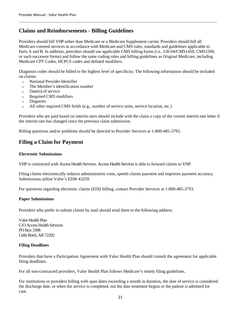## <span id="page-20-0"></span>**Claims and Reimbursements - Billing Guidelines**

Providers should bill VHP rather than Medicare or a Medicare Supplement carrier. Providers should bill all Medicare-covered services in accordance with Medicare and CMS rules, standards and guidelines applicable to Parts A and B. In addition, providers should use applicable CMS billing forms (i.e., UB-04/CMS1450, CMS1500, or such successor forms) and follow the same coding rules and billing guidelines as Original Medicare, including Medicare CPT Codes, HCPCS codes and defined modifiers.

Diagnosis codes should be billed to the highest level of specificity. The following information should be included on claims:

- National Provider Identifier
- The Member's identification number
- Date(s) of service
- Required CMS modifiers
- Diagnosis
- All other required CMS fields (e.g., number of service units, service location, etc.)

Providers who are paid based on interim rates should include with the claim a copy of the current interim rate letter if the interim rate has changed since the previous claim submission.

Billing questions and/or problems should be directed to Provider Services at 1-800-485-3793.

## <span id="page-20-1"></span>**Filing a Claim for Payment**

#### <span id="page-20-2"></span>**Electronic Submissions**

VHP is contracted with Access Health Services. Access Health Services is able to forward claims to VHP.

Filing claims electronically reduces administrative costs, speeds claims payment and improves payment accuracy. Submissions utilize Valor's EDI# 43259.

For questions regarding electronic claims (EDI) billing, contact Provider Services at 1-800-485-3793.

#### <span id="page-20-3"></span>**Paper Submissions**

Providers who prefer to submit claims by mail should send them to the following address:

Valor Health Plan C/O Access Health Services PO Box 3398 Little Rock, AR 72202

#### <span id="page-20-4"></span>**Filing Deadlines**

Providers that have a Participation Agreement with Valor Health Plan should consult the agreement for applicable filing deadlines.

For all non-contracted providers, Valor Health Plan follows Medicare's timely filing guidelines.

For institutions or providers billing with span dates exceeding a month in duration, the date of service is considered the discharge date, or when the service is completed, not the date treatment begins or the patient is admitted for care.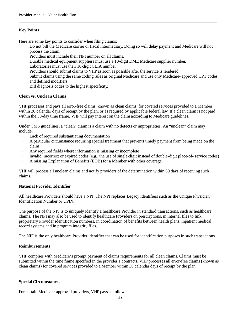#### <span id="page-21-0"></span>**Key Points**

Here are some key points to consider when filing claims:

- Do not bill the Medicare carrier or fiscal intermediary. Doing so will delay payment and Medicare will not process the claim.
- Providers must include their NPI number on all claims.
- Durable medical equipment suppliers must use a 10-digit DME Medicare supplier number.
- Laboratories must use their 10-digit CLIA number.
- Providers should submit claims to VHP as soon as possible after the service is rendered.
- Submit claims using the same coding rules as original Medicare and use only Medicare- approved CPT codes and defined modifiers.
- Bill diagnosis codes to the highest specificity.

#### <span id="page-21-1"></span>**Clean vs. Unclean Claims**

VHP processes and pays all error-free claims, known as clean claims, for covered services provided to a Member within 30 calendar days of receipt by the plan, or as required by applicable federal law. If a clean claim is not paid within the 30-day time frame, VHP will pay interest on the claim according to Medicare guidelines.

Under CMS guidelines, a "clean" claim is a claim with no defects or improprieties. An "unclean" claim may include:

- Lack of required substantiating documentation
- A particular circumstance requiring special treatment that prevents timely payment from being made on the claim
- Any required fields where information is missing or incomplete
- Invalid, incorrect or expired codes (e.g., the use of single-digit instead of double-digit place-of- service codes)
- A missing Explanation of Benefits (EOB) for a Member with other coverage

VHP will process all unclean claims and notify providers of the determination within 60 days of receiving such claims.

#### **National Provider Identifier**

All healthcare Providers should have a NPI. The NPI replaces Legacy identifiers such as the Unique Physician Identification Number or UPIN.

The purpose of the NPI is to uniquely identify a healthcare Provider in standard transactions, such as healthcare claims. The NPI may also be used to identify healthcare Providers on prescriptions, in internal files to link proprietary Provider identification numbers, in coordination of benefits between health plans, inpatient medical record systems and in program integrity files.

The NPI is the only healthcare Provider identifier that can be used for identification purposes in such transactions.

#### <span id="page-21-2"></span>**Reimbursements**

VHP complies with Medicare's prompt payment of claims requirements for all clean claims. Claims must be submitted within the time frame specified in the provider's contracts. VHP processes all error-free claims (known as clean claims) for covered services provided to a Member within 30 calendar days of receipt by the plan.

#### <span id="page-21-3"></span>**Special Circumstances**

For certain Medicare-approved providers, VHP pays as follows: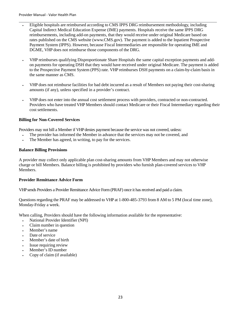- Eligible hospitals are reimbursed according to CMS IPPS DRG reimbursement methodology, including Capital Indirect Medical Education Expense (IME) payments. Hospitals receive the same IPPS DRG reimbursements, including add-on payments, that they would receive under original Medicare based on rates published on the CMS website (www.CMS.gov). The payment is added to the Inpatient Prospective Payment System (IPPS). However, because Fiscal Intermediaries are responsible for operating IME and DGME, VHP does not reimburse those components of the DRG.
- VHP reimburses qualifying Disproportionate Share Hospitals the same capital exception payments and addon payments for operating DSH that they would have received under original Medicare. The payment is added to the Prospective Payment System (PPS) rate. VHP reimburses DSH payments on a claim-by-claim basis in the same manner as CMS.
- VHP does not reimburse facilities for bad debt incurred as a result of Members not paying their cost-sharing amounts (if any), unless specified in a provider's contract.
- VHP does not enter into the annual cost settlement process with providers, contracted or non-contracted. Providers who have treated VHP Members should contact Medicare or their Fiscal Intermediary regarding their cost settlements.

#### <span id="page-22-0"></span>**Billing for Non-Covered Services**

Providers may not bill a Member if VHP denies payment because the service was not covered, unless:

- The provider has informed the Member in advance that the services may not be covered, and
- The Member has agreed, in writing, to pay for the services.

#### <span id="page-22-1"></span>**Balance Billing Provisions**

A provider may collect only applicable plan cost-sharing amounts from VHP Members and may not otherwise charge or bill Members. Balance billing is prohibited by providers who furnish plan-covered services to VHP Members.

#### <span id="page-22-2"></span>**Provider Remittance Advice Form**

VHP sends Providers a Provider Remittance Advice Form (PRAF) once it has received and paid a claim.

Questions regarding the PRAF may be addressed to VHP at 1-800-485-3793 from 8 AM to 5 PM (local time zone), Monday-Friday a week.

When calling, Providers should have the following information available for the representative:

- National Provider Identifier (NPI)
- Claim number in question
- Member's name
- Date of service
- Member's date of birth
- Issue requiring review
- Member's ID number
- <span id="page-22-3"></span>Copy of claim (if available)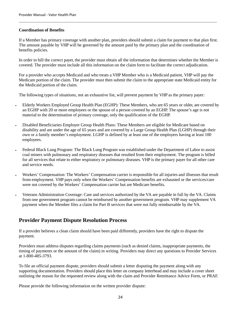#### **Coordination of Benefits**

If a Member has primary coverage with another plan, providers should submit a claim for payment to that plan first. The amount payable by VHP will be governed by the amount paid by the primary plan and the coordination of benefits policies.

In order to bill the correct payer, the provider must obtain all the information that determines whether the Member is covered. The provider must include all this information on the claim form to facilitate the correct adjudication.

For a provider who accepts Medicaid and who treats a VHP Member who is a Medicaid patient, VHP will pay the Medicare portion of the claim. The provider must then submit the claim to the appropriate state Medicaid entity for the Medicaid portion of the claim.

The following types of situations, not an exhaustive list, will prevent payment by VHP as the primary payer:

- Elderly Workers Employed Group Health Plan (EGHP): These Members, who are 65 years or older, are covered by an EGHP with 20 or more employees or the spouse of a person covered by an EGHP. The spouse's age is not material to the determination of primary coverage, only the qualification of the EGHP.
- Disabled Beneficiaries Employer Group Health Plans: These Members are eligible for Medicare based on disability and are under the age of 65 years and are covered by a Large Group Health Plan (LGHP) through their own or a family member's employment. LGHP is defined by at least one of the employers having at least 100 employees.
- Federal Black Lung Program: The Black Lung Program was established under the Department of Labor to assist coal miners with pulmonary and respiratory diseases that resulted from their employment. The program is billed for all services that relate to either respiratory or pulmonary diseases. VHP is the primary payer for all other care and service needs.
- Workers' Compensation: The Workers' Compensation carrier is responsible for all injuries and illnesses that result from employment. VHP pays only when the Workers' Compensation benefits are exhausted or the services/care were not covered by the Workers' Compensation carrier but are Medicare benefits.
- Veterans Administration Coverage: Care and services authorized by the VA are payable in full by the VA. Claims from one government program cannot be reimbursed by another government program. VHP may supplement VA payment when the Member files a claim for Part B services that were not fully reimbursable by the VA.

### <span id="page-23-0"></span>**Provider Payment Dispute Resolution Process**

If a provider believes a clean claim should have been paid differently, providers have the right to dispute the payment.

Providers must address disputes regarding claims payments (such as denied claims, inappropriate payments, the timing of payments or the amount of the claim) in writing. Providers may direct any questions to Provider Services at 1-800-485-3793.

To file an official payment dispute, providers should submit a letter disputing the payment along with any supporting documentation. Providers should place this letter on company letterhead and may include a cover sheet outlining the reason for the requested review along with the claim and Provider Remittance Advice Form, or PRAF.

Please provide the following information on the written provider dispute: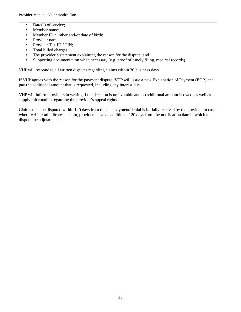- Date(s) of service:
- Member name;
- Member ID number and/or date of birth;
- Provider name:
- Provider Tax ID / TIN;
- Total billed charges;
- The provider's statement explaining the reason for the dispute; and
- Supporting documentation when necessary (e.g. proof of timely filing, medical records).

VHP will respond to all written disputes regarding claims within 30 business days.

If VHP agrees with the reason for the payment dispute, VHP will issue a new Explanation of Payment (EOP) and pay the additional amount that is requested, including any interest due.

VHP will inform providers in writing if the decision is unfavorable and no additional amount is owed, as well as supply information regarding the provider's appeal rights.

Claims must be disputed within 120 days from the date payment/denial is initially received by the provider. In cases where VHP re-adjudicates a claim, providers have an additional 120 days from the notification date in which to dispute the adjustment.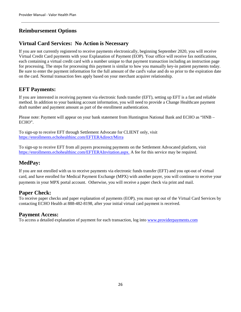## <span id="page-25-0"></span>**Reimbursement Options**

### <span id="page-25-1"></span>**Virtual Card Services: No Action is Necessary**

If you are not currently registered to receive payments electronically, beginning September 2020, you will receive Virtual Credit Card payments with your Explanation of Payment (EOP). Your office will receive fax notifications, each containing a virtual credit card with a number unique to that payment transaction including an instruction page for processing. The steps for processing this payment is similar to how you manually key-in patient payments today. Be sure to enter the payment information for the full amount of the card's value and do so prior to the expiration date on the card. Normal transaction fees apply based on your merchant acquirer relationship.

## <span id="page-25-2"></span>**EFT Payments:**

If you are interested in receiving payment via electronic funds transfer (EFT), setting up EFT is a fast and reliable method. In addition to your banking account information, you will need to provide a Change Healthcare payment draft number and payment amount as part of the enrollment authentication.

Please note: Payment will appear on your bank statement from Huntington National Bank and ECHO as "HNB – ECHO".

To sign-up to receive EFT through Settlement Advocate for CLIENT only, visit <https://enrollments.echohealthinc.com/EFTERAdirect/Mirra>

To sign-up to receive EFT from all payers processing payments on the Settlement Advocated platform, visit [https://enrollments.echohealthinc.com/EFTERAInvitation.aspx.](https://enrollments.echohealthinc.com/EFTERAInvitation.aspx) A fee for this service may be required.

## <span id="page-25-3"></span>**MedPay:**

If you are not enrolled with us to receive payments via electronic funds transfer (EFT) and you opt-out of virtual card, and have enrolled for Medical Payment Exchange (MPX) with another payer, you will continue to receive your payments in your MPX portal account. Otherwise, you will receive a paper check via print and mail.

#### <span id="page-25-4"></span>**Paper Check:**

To receive paper checks and paper explanation of payments (EOP), you must opt out of the Virtual Card Services by contacting ECHO Health at 888-482-8198, after your initial virtual card payment is received.

#### <span id="page-25-5"></span>**Payment Access:**

To access a detailed explanation of payment for each transaction, log into www.providerpayments.com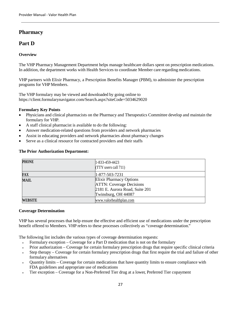## <span id="page-26-0"></span>**Pharmacy**

### <span id="page-26-1"></span>**Part D**

#### <span id="page-26-2"></span>**Overview**

The VHP Pharmacy Management Department helps manage healthcare dollars spent on prescription medications. In addition, the department works with Health Services to coordinate Member care regarding medications.

VHP partners with Elixir Pharmacy, a Prescription Benefits Manager (PBM), to administer the prescription programs for VHP Members.

The VHP formulary may be viewed and downloaded by going online to https://client.formularynavigator.com/Search.aspx?siteCode=5034629020

#### <span id="page-26-3"></span>**Formulary Key Points**

- Physicians and clinical pharmacists on the Pharmacy and Therapeutics Committee develop and maintain the formulary for VHP.
- A staff clinical pharmacist is available to do the following:
- Answer medication-related questions from providers and network pharmacies
- Assist in educating providers and network pharmacies about pharmacy changes
- Serve as a clinical resource for contracted providers and their staffs

| PHONE   | 1-833-459-4423                  |
|---------|---------------------------------|
|         | $(TTY$ users call $711)$        |
| FAX     | 1-877-503-7231                  |
| MAIL    | Elixir Pharmacy Options         |
|         | <b>ATTN:</b> Coverage Decisions |
|         | 2181 E. Aurora Road, Suite 201  |
|         | Twinsburg, OH 44087             |
| WEBSITE | www.valorhealthplan.com         |

#### <span id="page-26-4"></span>**The Prior Authorization Department:**

#### <span id="page-26-5"></span>**Coverage Determination**

VHP has several processes that help ensure the effective and efficient use of medications under the prescription benefit offered to Members. VHP refers to these processes collectively as "coverage determination."

The following list includes the various types of coverage determination requests:

- Formulary exception Coverage for a Part D medication that is not on the formulary
- Prior authorization Coverage for certain formulary prescription drugs that require specific clinical criteria
- Step therapy Coverage for certain formulary prescription drugs that first require the trial and failure of other formulary alternatives
- Quantity limits Coverage for certain medications that have quantity limits to ensure compliance with FDA guidelines and appropriate use of medications
- Tier exception Coverage for a Non-Preferred Tier drug at a lower, Preferred Tier copayment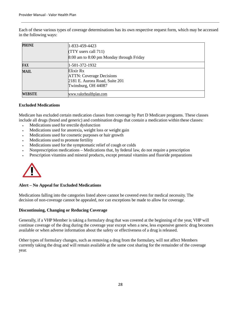Each of these various types of coverage determinations has its own respective request form, which may be accessed in the following ways:

| <b>PHONE</b> | 1-833-459-4423                           |
|--------------|------------------------------------------|
|              | $(TTY$ users call 711)                   |
|              | 8:00 am to 8:00 pm Monday through Friday |
| FAX          | 1-501-372-1932                           |
| <b>MAIL</b>  | Elixir Rx                                |
|              | <b>ATTN: Coverage Decisions</b>          |
|              | 2181 E. Aurora Road, Suite 201           |
|              | Twinsburg, OH 44087                      |
| WEBSITE      | www.valorhealthplan.com                  |

#### <span id="page-27-0"></span>**Excluded Medications**

Medicare has excluded certain medication classes from coverage by Part D Medicare programs. These classes include all drugs (brand and generic) and combination drugs that contain a medication within these classes:

- Medications used for erectile dysfunction
- Medications used for anorexia, weight loss or weight gain
- Medications used for cosmetic purposes or hair growth
- Medications used to promote fertility
- Medications used for the symptomatic relief of cough or colds
- Nonprescription medications Medications that, by federal law, do not require a prescription
- Prescription vitamins and mineral products, except prenatal vitamins and fluoride preparations



#### **Alert – No Appeal for Excluded Medications**

Medications falling into the categories listed above cannot be covered even for medical necessity. The decision of non-coverage cannot be appealed, nor can exceptions be made to allow for coverage.

#### **Discontinuing, Changing or Reducing Coverage**

Generally, if a VHP Member is taking a formulary drug that was covered at the beginning of the year, VHP will continue coverage of the drug during the coverage year except when a new, less expensive generic drug becomes available or when adverse information about the safety or effectiveness of a drug is released.

Other types of formulary changes, such as removing a drug from the formulary, will not affect Members currently taking the drug and will remain available at the same cost sharing for the remainder of the coverage year.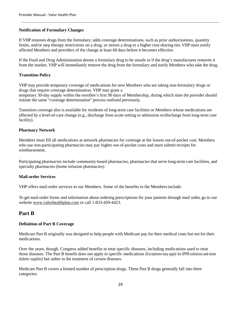#### **Notification of Formulary Changes**

If VHP removes drugs from the formulary; adds coverage determinations, such as prior authorizations, quantity limits, and/or step therapy restrictions on a drug; or moves a drug to a higher cost-sharing tier, VHP must notify affected Members and providers of the change at least 60 days before it becomes effective.

If the Food and Drug Administration deems a formulary drug to be unsafe or if the drug's manufacturer removes it from the market, VHP will immediately remove the drug from the formulary and notify Members who take the drug.

#### **Transition Policy**

VHP may provide temporary coverage of medications for new Members who are taking non-formulary drugs or drugs that require coverage determination. VHP may grant a temporary 30-day supply within the enrollee's first 90 days of Membership, during which time the provider should initiate the same "coverage determination" process outlined previously.

Transition coverage also is available for residents of long-term care facilities or Members whose medications are affected by a level-of-care change (e.g., discharge from acute setting or admission to/discharge from long-term care facility).

#### **Pharmacy Network**

Members must fill all medications at network pharmacies for coverage at the lowest out-of-pocket cost. Members who use non-participating pharmacies may pay higher out-of-pocket costs and must submit receipts for reimbursement.

Participating pharmacies include community-based pharmacies, pharmacies that serve long-term care facilities, and specialty pharmacies (home infusion pharmacies)

#### **Mail-order Services**

VHP offers mail-order services to our Members. Some of the benefits to the Members include:

To get mail-order forms and information about ordering prescriptions for your patients through mail order, go to our website [www.valorhealthplan.com](http://www.valorhealthplan.com/) or call 1-833-459-4423.

### <span id="page-28-0"></span>**Part B**

#### <span id="page-28-1"></span>**Definition of Part B Coverage**

Medicare Part B originally was designed to help people with Medicare pay for their medical costs but not for their medications.

Over the years, though, Congress added benefits to treat specific diseases, including medications used to treat those diseases. The Part B benefit does not apply to specific medications (Exceptions may apply for IPPB solutions and some diabetic supplies) but rather to the treatment of certain diseases.

Medicare Part B covers a limited number of prescription drugs. These Part B drugs generally fall into three categories: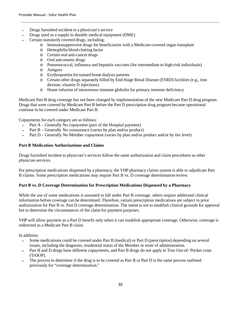- Drugs furnished incident to a physician's service
- Drugs used as a supply to durable medical equipment (DME)
- Certain statutorily covered drugs, including:
	- o Immunosuppressive drugs for beneficiaries with a Medicare-covered organ transplant
	- o Hemophilia blood clotting factor
	- o Certain oral anti-cancer drugs
	- o Oral anti-emetic drugs
	- o Pneumococcal, influenza and hepatitis vaccines (for intermediate to high-risk individuals)
	- o Antigens
	- o Erythropoietin for trained home dialysis patients
	- o Certain other drugs separately billed by End-Stage Renal Disease (ESRD) facilities (e.g., iron dextran, vitamin D injections)
	- o Home infusion of intravenous immune globulin for primary immune deficiency

Medicare Part B drug coverage has not been changed by implementation of the new Medicare Part D drug program. Drugs that were covered by Medicare Part B before the Part D prescription drug program became operational continue to be covered under Medicare Part B.

Copayments for each category are as follows:

- Part A Generally No copayment (part of the Hospital payment)
- Part B Generally No coinsurance (varies by plan and/or product)
- Part D Generally No Member copayment (varies by plan and/or product and/or by tier level)

#### <span id="page-29-0"></span>**Part B Medication Authorizations and Claims**

Drugs furnished incident to physician's services follow the same authorization and claim procedures as other physician services.

For prescription medications dispensed by a pharmacy, the VHP pharmacy claims system is able to adjudicate Part B claims. Some prescription medications may require Part B vs. D coverage determination review.

#### <span id="page-29-1"></span>**Part B vs. D Coverage Determination for Prescription Medications Dispensed by a Pharmacy**

While the use of some medications is assumed to fall under Part B coverage, others require additional clinical information before coverage can be determined. Therefore, certain prescription medications are subject to prior authorization for Part B vs. Part D coverage determination. The intent is not to establish clinical grounds for approval but to determine the circumstances of the claim for payment purposes.

VHP will allow payment as a Part D benefit only when it can establish appropriate coverage. Otherwise, coverage is redirected as a Medicare Part B claim.

In addition:

- Some medications could be covered under Part B (medical) or Part D (prescription) depending on several issues, including the diagnosis, residential status of the Member or route of administration.
- Part B and D drugs have different copayments, and Part B drugs do not apply to True Out-of- Pocket costs (TrOOP).
- The process to determine if the drug is to be covered as Part B or Part D is the same process outlined previously for "coverage determination."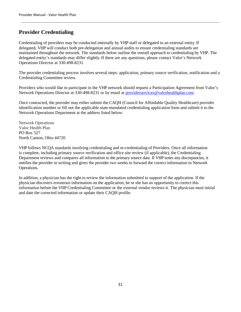## <span id="page-30-0"></span>**Provider Credentialing**

Credentialing of providers may be conducted internally by VHP staff or delegated to an external entity. If delegated, VHP will conduct both pre-delegation and annual audits to ensure credentialing standards are maintained throughout the network. The standards below outline the overall approach to credentialing by VHP. The delegated entity's standards may differ slightly. If there are any questions, please contact Valor's Network Operations Director at 330-498-8231.

The provider credentialing process involves several steps: application, primary source verification, notification and a Credentialing Committee review.

Providers who would like to participate in the VHP network should request a Participation Agreement from Valor's Network Operations Director at 330-498-8231 or by email at *providerservices@valorhealthplan.com.* 

Once contracted, the provider may either submit the CAQH (Council for Affordable Quality Healthcare) provider identification number or fill out the applicable state-mandated credentialing application form and submit it to the Network Operations Department at the address listed below:

Network Operations Valor Health Plan [PO](https://maps.google.com/?q=339+E.+Maple+Street,+Suite+100+%0D%0A+North+Canton,+Ohio+44720&entry=gmail&source=g) Box 527 [North Canton, Ohio 44720](https://maps.google.com/?q=339+E.+Maple+Street,+Suite+100+%0D%0A+North+Canton,+Ohio+44720&entry=gmail&source=g)

VHP follows NCQA standards involving credentialing and re-credentialing of Providers. Once all information is complete, including primary source verification and office site review (if applicable), the Credentialing Department reviews and compares all information to the primary source data. If VHP notes any discrepancies, it notifies the provider in writing and gives the provider two weeks to forward the correct information to Network Operations.

In addition, a physician has the right to review the information submitted in support of the application. If the physician discovers erroneous information on the application, he or she has an opportunity to correct this information before the VHP Credentialing Committee or the external vendor reviews it. The physician must initial and date the corrected information or update their CAQH profile.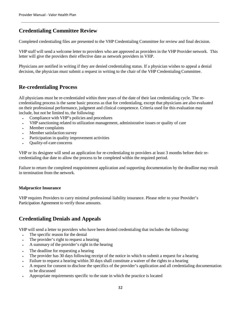## **Credentialing Committee Review**

Completed credentialing files are presented to the VHP Credentialing Committee for review and final decision.

VHP staff will send a welcome letter to providers who are approved as providers in the VHP Provider network. This letter will give the providers their effective date as network providers in VHP.

Physicians are notified in writing if they are denied credentialing status. If a physician wishes to appeal a denial decision, the physician must submit a request in writing to the chair of the VHP Credentialing Committee.

### **Re-credentialing Process**

All physicians must be re-credentialed within three years of the date of their last credentialing cycle. The recredentialing process is the same basic process as that for credentialing, except that physicians are also evaluated on their professional performance, judgment and clinical competence. Criteria used for this evaluation may include, but not be limited to, the following:

- Compliance with VHP's policies and procedures
- VHP sanctioning related to utilization management, administrative issues or quality of care
- Member complaints
- Member satisfaction survey
- Participation in quality improvement activities
- Quality-of-care concerns

VHP or its designee will send an application for re-credentialing to providers at least 3 months before their recredentialing due date to allow the process to be completed within the required period.

Failure to return the completed reappointment application and supporting documentation by the deadline may result in termination from the network.

#### **Malpractice Insurance**

VHP requires Providers to carry minimal professional liability insurance. Please refer to your Provider's Participation Agreement to verify those amounts.

## **Credentialing Denials and Appeals**

VHP will send a letter to providers who have been denied credentialing that includes the following:

- The specific reason for the denial
- The provider's right to request a hearing
- A summary of the provider's right in the hearing
- The deadline for requesting a hearing
- The provider has 30 days following receipt of the notice in which to submit a request for a hearing
- Failure to request a hearing within 30 days shall constitute a waiver of the rights to a hearing
- A request for consent to disclose the specifics of the provider's application and all credentialing documentation to be discussed
- Appropriate requirements specific to the state in which the practice is located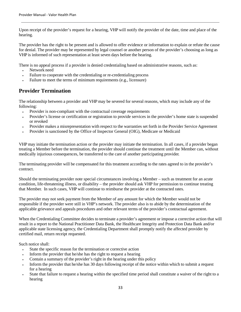Upon receipt of the provider's request for a hearing, VHP will notify the provider of the date, time and place of the hearing.

The provider has the right to be present and is allowed to offer evidence or information to explain or refute the cause for denial. The provider may be represented by legal counsel or another person of the provider's choosing as long as VHP is informed of such representation at least seven days before the hearing.

There is no appeal process if a provider is denied credentialing based on administrative reasons, such as:

- Network need
- Failure to cooperate with the credentialing or re-credentialing process
- Failure to meet the terms of minimum requirements (e.g., licensure)

### **Provider Termination**

The relationship between a provider and VHP may be severed for several reasons, which may include any of the following:

- Provider is non-compliant with the contractual coverage requirements
- Provider's license or certification or registration to provide services in the provider's home state is suspended or revoked
- Provider makes a misrepresentation with respect to the warranties set forth in the Provider Service Agreement
- Provider is sanctioned by the Office of Inspector General (OIG), Medicare or Medicaid

VHP may initiate the termination action or the provider may initiate the termination. In all cases, if a provider began treating a Member before the termination, the provider should continue the treatment until the Member can, without medically injurious consequences, be transferred to the care of another participating provider.

The terminating provider will be compensated for this treatment according to the rates agreed to in the provider's contract.

Should the terminating provider note special circumstances involving a Member – such as treatment for an acute condition, life-threatening illness, or disability – the provider should ask VHP for permission to continue treating that Member. In such cases, VHP will continue to reimburse the provider at the contracted rates.

The provider may not seek payment from the Member of any amount for which the Member would not be responsible if the provider were still in VHP's network. The provider also is to abide by the determination of the applicable grievance and appeals procedures and other relevant terms of the provider's contractual agreement.

When the Credentialing Committee decides to terminate a provider's agreement or impose a corrective action that will result in a report to the National Practitioner Data Bank, the Healthcare Integrity and Protection Data Bank and/or applicable state licensing agency, the Credentialing Department shall promptly notify the affected provider by certified mail, return receipt requested.

Such notice shall:

- State the specific reason for the termination or corrective action
- Inform the provider that he/she has the right to request a hearing
- Contain a summary of the provider's right in the hearing under this policy
- Inform the provider that he/she has 30 days following receipt of the notice within which to submit a request for a hearing
- State that failure to request a hearing within the specified time period shall constitute a waiver of the right to a hearing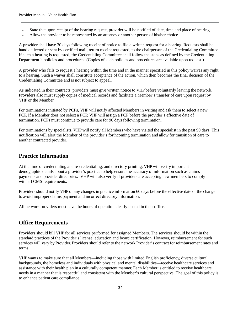- State that upon receipt of the hearing request, provider will be notified of date, time and place of hearing
- Allow the provider to be represented by an attorney or another person of his/her choice

A provider shall have 30 days following receipt of notice to file a written request for a hearing. Requests shall be hand delivered or sent by certified mail, return receipt requested, to the chairperson of the Credentialing Committee. If such a hearing is requested, the Credentialing Committee shall follow the steps as defined by the Credentialing Department's policies and procedures. (Copies of such policies and procedures are available upon request.)

A provider who fails to request a hearing within the time and in the manner specified in this policy waives any right to a hearing. Such a waiver shall constitute acceptance of the action, which then becomes the final decision of the Credentialing Committee and is not subject to appeal.

As indicated in their contracts, providers must give written notice to VHP before voluntarily leaving the network. Providers also must supply copies of medical records and facilitate a Member's transfer of care upon request by VHP or the Member.

For terminations initiated by PCPs, VHP will notify affected Members in writing and ask them to select a new PCP. If a Member does not select a PCP, VHP will assign a PCP before the provider's effective date of termination. PCPs must continue to provide care for 90 days following termination.

For terminations by specialists, VHP will notify all Members who have visited the specialist in the past 90 days. This notification will alert the Member of the provider's forthcoming termination and allow for transition of care to another contracted provider.

### **Practice Information**

At the time of credentialing and re-credentialing, and directory printing, VHP will verify important demographic details about a provider's practice to help ensure the accuracy of information such as claims payments and provider directories. VHP will also verify if providers are accepting new members to comply with all CMS requirements.

Providers should notify VHP of any changes in practice information 60 days before the effective date of the change to avoid improper claims payment and incorrect directory information.

All network providers must have the hours of operation clearly posted in their office.

## **Office Requirements**

Providers should bill VHP for all services performed for assigned Members. The services should be within the standard practices of the Provider's license, education and board certification. However, reimbursement for such services will vary by Provider. Providers should refer to the network Provider's contract for reimbursement rates and terms.

VHP wants to make sure that all Members—including those with limited English proficiency, diverse cultural backgrounds, the homeless and individuals with physical and mental disabilities—receive healthcare services and assistance with their health plan in a culturally competent manner. Each Member is entitled to receive healthcare needs in a manner that is respectful and consistent with the Member's cultural perspective. The goal of this policy is to enhance patient care compliance.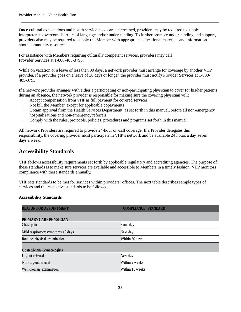Once cultural expectations and health service needs are determined, providers may be required to supply interpreters to overcome barriers of language and/or understanding. To further promote understanding and support, providers also may be required to supply the Member with appropriate educational materials and information about community resources.

For assistance with Members requiring culturally competent services, providers may call Provider Services at 1-800-485-3793.

While on vacation or a leave of less than 30 days, a network provider must arrange for coverage by another VHP provider. If a provider goes on a leave of 30 days or longer, the provider must notify Provider Services at 1-800- 485-3793.

If a network provider arranges with either a participating or non-participating physician to cover for his/her patients during an absence, the network provider is responsible for making sure the covering physician will:

- Accept compensation from VHP as full payment for covered services
- Not bill the Member, except for applicable copayments
- Obtain approval from the Health Services Department, as set forth in this manual, before all non-emergency hospitalizations and non-emergency referrals
- Comply with the rules, protocols, policies, procedures and programs set forth in this manual

All network Providers are required to provide 24-hour on-call coverage. If a Provider delegates this responsibility, the covering provider must participate in VHP's network and be available 24 hours a day, seven days a week.

### **Accessibility Standards**

VHP follows accessibility requirements set forth by applicable regulatory and accrediting agencies. The purpose of these standards is to make sure services are available and accessible to Members in a timely fashion. VHP monitors compliance with these standards annually.

VHP sets standards to be met for services within providers' offices. The next table describes sample types of services and the respective standards to be followed:

#### **Accessibility Standards**

| <b>REASON FOR APPOINTMENT</b>        | <b>COMPLIANCE STANDARD</b> |
|--------------------------------------|----------------------------|
|                                      |                            |
| PRIMARY CARE PHYSICIAN<br>Chest pain | Same day                   |
| Mild respiratory symptoms $>3$ days  | Next day                   |
| Routine physical examination         | Within 30 days             |
| <b>Obstetricians-Gynecologists</b>   |                            |
| Urgent referral                      | Next day                   |
| Non-urgent referral                  | Within 2 weeks             |
| Well-woman examination               | Within 10 weeks            |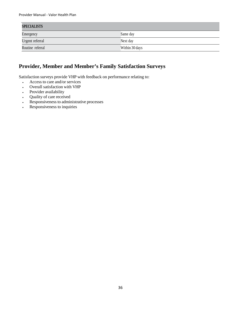| <b>SPECIALISTS</b> |                |  |
|--------------------|----------------|--|
| Emergency          | Same day       |  |
| Urgent referral    | Next day       |  |
| Routine referral   | Within 30 days |  |

## **Provider, Member and Member's Family Satisfaction Surveys**

Satisfaction surveys provide VHP with feedback on performance relating to:

- Access to care and/or services
- Overall satisfaction with VHP
- Provider availability
- Quality of care received
- Responsiveness to administrative processes
- Responsiveness to inquiries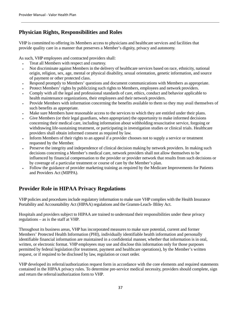## <span id="page-36-0"></span>**Physician Rights, Responsibilities and Roles**

VHP is committed to offering its Members access to physicians and healthcare services and facilities that provide quality care in a manner that preserves a Member's dignity, privacy and autonomy.

As such, VHP employees and contracted providers shall:

- Treat all Members with respect and courtesy.
- Not discriminate against Members in the delivery of healthcare services based on race, ethnicity, national origin, religion, sex, age, mental or physical disability, sexual orientation, genetic information, and source of payment or other protected class.
- Respond promptly to Members' questions and document communications with Members as appropriate.
- Protect Members' rights by publicizing such rights to Members, employees and network providers.
- Comply with all the legal and professional standards of care, ethics, conduct and behavior applicable to health maintenance organizations, their employees and their network providers.
- Provide Members with information concerning the benefits available to them so they may avail themselves of such benefits as appropriate.
- Make sure Members have reasonable access to the services to which they are entitled under their plans.
- Give Members (or their legal guardians, when appropriate) the opportunity to make informed decisions concerning their medical care, including information about withholding resuscitative service, forgoing or withdrawing life-sustaining treatment, or participating in investigation studies or clinical trials. Healthcare providers shall obtain informed consent as required by law.
- Inform Members of their rights to an appeal if a provider chooses not to supply a service or treatment requested by the Member.
- Preserve the integrity and independence of clinical decision making by network providers. In making such decisions concerning a Member's medical care, network providers shall not allow themselves to be influenced by financial compensation to the provider or provider network that results from such decisions or by coverage of a particular treatment or course of care by the Member's plan.
- Follow the guidance of provider marketing training as required by the Medicare Improvements for Patients and Providers Act (MIPPA).

## <span id="page-36-1"></span>**Provider Role in HIPAA Privacy Regulations**

VHP policies and procedures include regulatory information to make sure VHP complies with the Health Insurance Portability and Accountability Act (HIPAA) regulations and the Gramm-Leach- Bliley Act.

Hospitals and providers subject to HIPAA are trained to understand their responsibilities under these privacy regulations – as is the staff at VHP.

Throughout its business areas, VHP has incorporated measures to make sure potential, current and former Members' Protected Health Information (PHI), individually identifiable health information and personally identifiable financial information are maintained in a confidential manner, whether that information is in oral, written, or electronic format. VHP employees may use and disclose this information only for those purposes permitted by federal legislation (for treatment, payment and healthcare operations), by the Member's written request, or if required to be disclosed by law, regulation or court order.

VHP developed its referral/authorization request form in accordance with the core elements and required statements contained in the HIPAA privacy rules. To determine pre-service medical necessity, providers should complete, sign and return the referral/authorization form to VHP.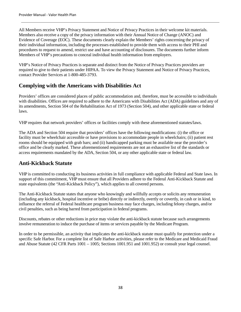All Members receive VHP's Privacy Statement and Notice of Privacy Practices in their welcome kit materials. Members also receive a copy of the privacy information with their Annual Notice of Change (ANOC) and Evidence of Coverage (EOC). These documents clearly explain the Members' rights concerning the privacy of their individual information, including the processes established to provide them with access to their PHI and procedures to request to amend, restrict use and have accounting of disclosures. The documents further inform Members of VHP's precautions to conceal individual health information from employers.

VHP's Notice of Privacy Practices is separate and distinct from the Notice of Privacy Practices providers are required to give to their patients under HIPAA. To view the Privacy Statement and Notice of Privacy Practices, contact Provider Services at 1-800-485-3793.

### <span id="page-37-0"></span>**Complying with the Americans with Disabilities Act**

Providers' offices are considered places of public accommodation and, therefore, must be accessible to individuals with disabilities. Offices are required to adhere to the Americans with Disabilities Act (ADA) guidelines and any of its amendments, Section 504 of the Rehabilitation Act of 1973 (Section 504), and other applicable state or federal laws.

VHP requires that network providers' offices or facilities comply with these aforementioned statutes/laws.

The ADA and Section 504 require that providers' offices have the following modifications: (i) the office or facility must be wheelchair accessible or have provisions to accommodate people in wheelchairs; (ii) patient rest rooms should be equipped with grab bars; and (ii) handicapped parking must be available near the provider's office and be clearly marked. These aforementioned requirements are not an exhaustive list of the standards or access requirements mandated by the ADA, Section 504, or any other applicable state or federal law.

## <span id="page-37-1"></span>**Anti-Kickback Statute**

VHP is committed to conducting its business activities in full compliance with applicable Federal and State laws. In support of this commitment, VHP must ensure that all Providers adhere to the Federal Anti-Kickback Statute and state equivalents (the "Anti-Kickback Policy"), which applies to all covered persons.

The Anti-Kickback Statute states that anyone who knowingly and willfully accepts or solicits any remuneration (including any kickback, hospital incentive or bribe) directly or indirectly, overtly or covertly, in cash or in kind, to influence the referral of Federal healthcare program business may face charges, including felony charges, and/or civil penalties, such as being barred from participation in federal programs.

Discounts, rebates or other reductions in price may violate the anti-kickback statute because such arrangements involve remuneration to induce the purchase of items or services payable by the Medicare Program.

In order to be permissible, an activity that implicates the anti-kickback statute must qualify for protection under a specific Safe Harbor. For a complete list of Safe Harbor activities, please refer to the Medicare and Medicaid Fraud and Abuse Statute (42 CFR Parts 1001 – 1005; Sections 1001.951 and 1001.952) or consult your legal counsel.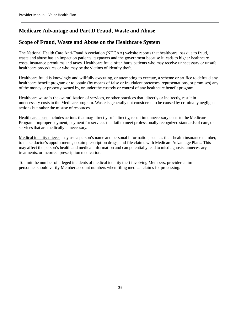## <span id="page-38-0"></span>**Medicare Advantage and Part D Fraud, Waste and Abuse**

## <span id="page-38-1"></span>**Scope of Fraud, Waste and Abuse on the Healthcare System**

The National Health Care Anti-Fraud Association (NHCAA) website reports that healthcare loss due to fraud, waste and abuse has an impact on patients, taxpayers and the government because it leads to higher healthcare costs, insurance premiums and taxes. Healthcare fraud often hurts patients who may receive unnecessary or unsafe healthcare procedures or who may be the victims of identity theft.

Healthcare fraud is knowingly and willfully executing, or attempting to execute, a scheme or artifice to defraud any healthcare benefit program or to obtain (by means of false or fraudulent pretenses, representations, or promises) any of the money or property owned by, or under the custody or control of any healthcare benefit program.

Healthcare waste is the overutilization of services, or other practices that, directly or indirectly, result in unnecessary costs to the Medicare program. Waste is generally not considered to be caused by criminally negligent actions but rather the misuse of resources.

Healthcare abuse includes actions that may, directly or indirectly, result in: unnecessary costs to the Medicare Program, improper payment, payment for services that fail to meet professionally recognized standards of care, or services that are medically unnecessary.

Medical identity thieves may use a person's name and personal information, such as their health insurance number, to make doctor's appointments, obtain prescription drugs, and file claims with Medicare Advantage Plans. This may affect the person's health and medical information and can potentially lead to misdiagnosis, unnecessary treatments, or incorrect prescription medication.

To limit the number of alleged incidents of medical identity theft involving Members, provider claim personnel should verify Member account numbers when filing medical claims for processing.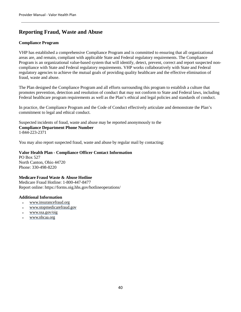## <span id="page-39-0"></span>**Reporting Fraud, Waste and Abuse**

#### <span id="page-39-1"></span>**Compliance Program**

VHP has established a comprehensive Compliance Program and is committed to ensuring that all organizational areas are, and remain, compliant with applicable State and Federal regulatory requirements. The Compliance Program is an organizational value-based system that will identify, detect, prevent, correct and report suspected noncompliance with State and Federal regulatory requirements. VHP works collaboratively with State and Federal regulatory agencies to achieve the mutual goals of providing quality healthcare and the effective elimination of fraud, waste and abuse.

The Plan designed the Compliance Program and all efforts surrounding this program to establish a culture that promotes prevention, detection and resolution of conduct that may not conform to State and Federal laws, including Federal healthcare program requirements as well as the Plan's ethical and legal policies and standards of conduct.

In practice, the Compliance Program and the Code of Conduct effectively articulate and demonstrate the Plan's commitment to legal and ethical conduct.

<span id="page-39-2"></span>Suspected incidents of fraud, waste and abuse may be reported anonymously to the **Compliance Department Phone Number**  1-844-223-2371

You may also report suspected fraud, waste and abuse by regular mail by contacting:

<span id="page-39-3"></span>**Valor Health Plan - Compliance Officer Contact Information**  PO Box 527 North Canton, Ohio 44720 Phone: 330-498-8220

#### <span id="page-39-4"></span>**Medicare Fraud Waste & Abuse Hotline**

Medicare Fraud Hotline: 1-800-447-8477 Report online: https://forms.oig.hhs.gov/hotlineoperations/

#### <span id="page-39-5"></span>**Additional Information**

- [www.insurancefraud.org](http://www.insurancefraud.org/)
- [www.stopmedicarefraud.gov](http://www.stopmedicarefraud.gov/)
- [www.ssa.gov/oig](http://www.ssa.gov/oig)
- [www.nhcaa.org](http://www.nhcaa.org/)